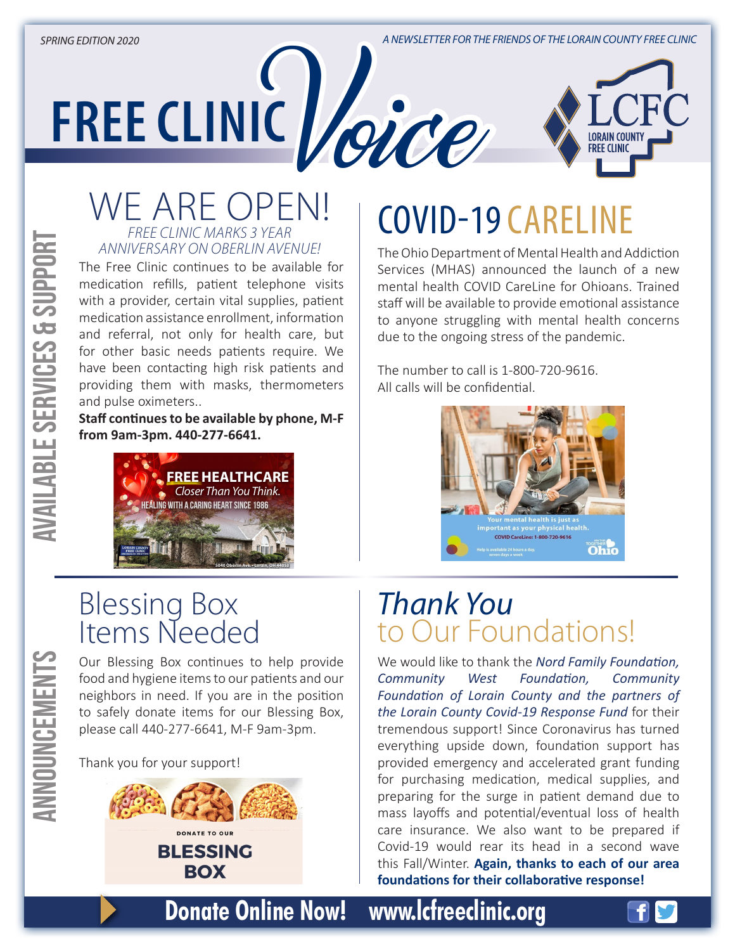*A NEWSLETTER FOR THE FRIENDS OF THE LORAIN COUNTY FREE CLINIC*



#### WE ARE OPEN! *FREE CLINIC MARKS 3 YEAR ANNIVERSARY ON OBERLIN AVENUE!*

FREE CLINIC<sup>V</sup>oice

The Free Clinic continues to be available for medication refills, patient telephone visits with a provider, certain vital supplies, patient medication assistance enrollment, information and referral, not only for health care, but for other basic needs patients require. We have been contacting high risk patients and providing them with masks, thermometers and pulse oximeters..

#### **Staff continues to be available by phone, M-F from 9am-3pm. 440-277-6641.**



# COVID-19 CARELINE

The Ohio Department of Mental Health and Addiction Services (MHAS) announced the launch of a new mental health COVID CareLine for Ohioans. Trained staff will be available to provide emotional assistance to anyone struggling with mental health concerns due to the ongoing stress of the pandemic.

The number to call is 1-800-720-9616. All calls will be confidential.



#### Blessing Box Items Needed

Our Blessing Box continues to help provide<br>food and hygiene items to our patients and our<br>neighbors in need. If you are in the position<br>to safely donate items for our Blessing Box,<br>please call 440-277-6641, M-F 9am-3pm.<br>Th food and hygiene items to our patients and our neighbors in need. If you are in the position to safely donate items for our Blessing Box, please call 440-277-6641, M-F 9am-3pm.

Thank you for your support!



### *Thank You* to Our Foundations!

We would like to thank the *Nord Family Foundation, Community West Foundation, Community Foundation of Lorain County and the partners of the Lorain County Covid-19 Response Fund* for their tremendous support! Since Coronavirus has turned everything upside down, foundation support has provided emergency and accelerated grant funding for purchasing medication, medical supplies, and preparing for the surge in patient demand due to mass layoffs and potential/eventual loss of health care insurance. We also want to be prepared if Covid-19 would rear its head in a second wave this Fall/Winter. **Again, thanks to each of our area foundations for their collaborative response!**

**Donate Online Now! www.lcfreeclinic.org**